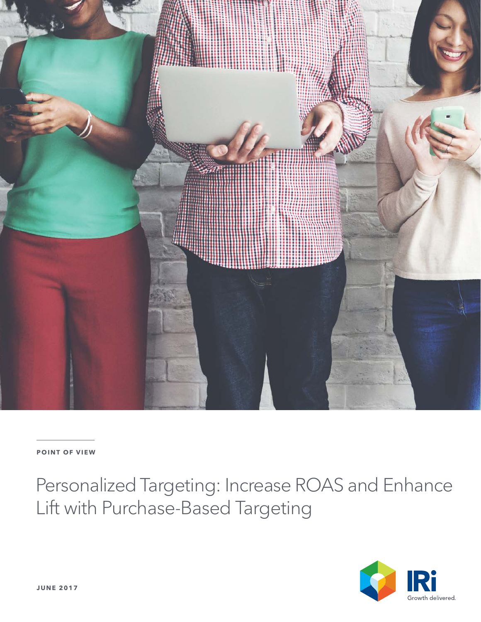

### **POINT OF VIEW**

Personalized Targeting: Increase ROAS and Enhance Lift with Purchase-Based Targeting

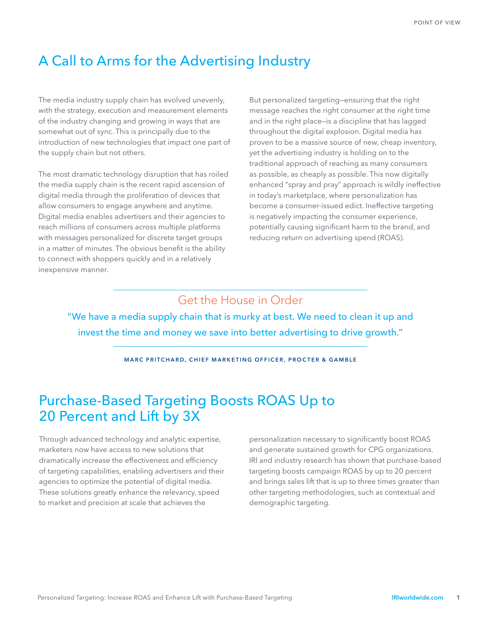## A Call to Arms for the Advertising Industry

The media industry supply chain has evolved unevenly, with the strategy, execution and measurement elements of the industry changing and growing in ways that are somewhat out of sync. This is principally due to the introduction of new technologies that impact one part of the supply chain but not others.

The most dramatic technology disruption that has roiled the media supply chain is the recent rapid ascension of digital media through the proliferation of devices that allow consumers to engage anywhere and anytime. Digital media enables advertisers and their agencies to reach millions of consumers across multiple platforms with messages personalized for discrete target groups in a matter of minutes. The obvious benefit is the ability to connect with shoppers quickly and in a relatively inexpensive manner.

But personalized targeting—ensuring that the right message reaches the right consumer at the right time and in the right place—is a discipline that has lagged throughout the digital explosion. Digital media has proven to be a massive source of new, cheap inventory, yet the advertising industry is holding on to the traditional approach of reaching as many consumers as possible, as cheaply as possible. This now digitally enhanced "spray and pray" approach is wildly ineffective in today's marketplace, where personalization has become a consumer-issued edict. Ineffective targeting is negatively impacting the consumer experience, potentially causing significant harm to the brand, and reducing return on advertising spend (ROAS).

### Get the House in Order

"We have a media supply chain that is murky at best. We need to clean it up and invest the time and money we save into better advertising to drive growth."

**MARC PRITCHARD, CHIEF MARKETING OFFICER, PROCTER & GAMBLE**

## Purchase-Based Targeting Boosts ROAS Up to 20 Percent and Lift by 3X

Through advanced technology and analytic expertise, marketers now have access to new solutions that dramatically increase the effectiveness and efficiency of targeting capabilities, enabling advertisers and their agencies to optimize the potential of digital media. These solutions greatly enhance the relevancy, speed to market and precision at scale that achieves the

personalization necessary to significantly boost ROAS and generate sustained growth for CPG organizations. IRI and industry research has shown that purchase-based targeting boosts campaign ROAS by up to 20 percent and brings sales lift that is up to three times greater than other targeting methodologies, such as contextual and demographic targeting.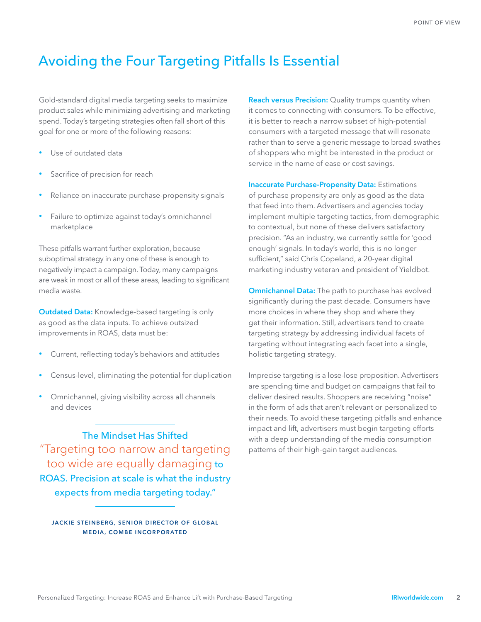## Avoiding the Four Targeting Pitfalls Is Essential

Gold-standard digital media targeting seeks to maximize product sales while minimizing advertising and marketing spend. Today's targeting strategies often fall short of this goal for one or more of the following reasons:

- Use of outdated data
- Sacrifice of precision for reach
- Reliance on inaccurate purchase-propensity signals
- Failure to optimize against today's omnichannel marketplace

These pitfalls warrant further exploration, because suboptimal strategy in any one of these is enough to negatively impact a campaign. Today, many campaigns are weak in most or all of these areas, leading to significant media waste.

**Outdated Data:** Knowledge-based targeting is only as good as the data inputs. To achieve outsized improvements in ROAS, data must be:

- Current, reflecting today's behaviors and attitudes
- Census-level, eliminating the potential for duplication
- Omnichannel, giving visibility across all channels and devices

The Mindset Has Shifted "Targeting too narrow and targeting too wide are equally damaging to ROAS. Precision at scale is what the industry expects from media targeting today."

**JACKIE STEINBERG, SENIOR DIRECTOR OF GLOBAL MEDIA, COMBE INCORPORATED**

**Reach versus Precision:** Quality trumps quantity when it comes to connecting with consumers. To be effective, it is better to reach a narrow subset of high-potential consumers with a targeted message that will resonate rather than to serve a generic message to broad swathes of shoppers who might be interested in the product or service in the name of ease or cost savings.

**Inaccurate Purchase-Propensity Data:** Estimations of purchase propensity are only as good as the data that feed into them. Advertisers and agencies today implement multiple targeting tactics, from demographic to contextual, but none of these delivers satisfactory precision. "As an industry, we currently settle for 'good enough' signals. In today's world, this is no longer sufficient," said Chris Copeland, a 20-year digital marketing industry veteran and president of Yieldbot.

**Omnichannel Data:** The path to purchase has evolved significantly during the past decade. Consumers have more choices in where they shop and where they get their information. Still, advertisers tend to create targeting strategy by addressing individual facets of targeting without integrating each facet into a single, holistic targeting strategy.

Imprecise targeting is a lose-lose proposition. Advertisers are spending time and budget on campaigns that fail to deliver desired results. Shoppers are receiving "noise" in the form of ads that aren't relevant or personalized to their needs. To avoid these targeting pitfalls and enhance impact and lift, advertisers must begin targeting efforts with a deep understanding of the media consumption patterns of their high-gain target audiences.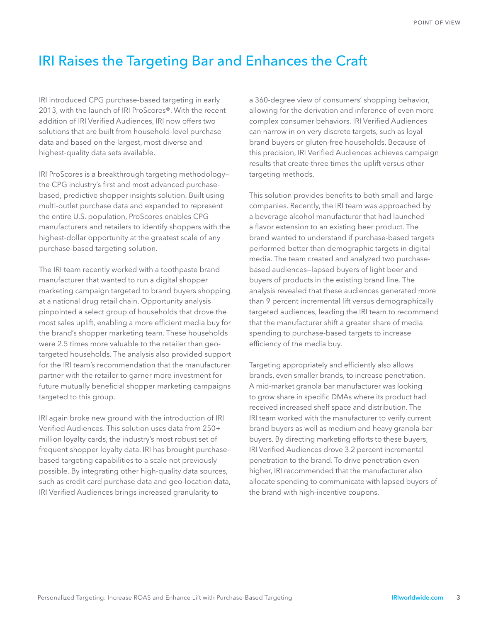## IRI Raises the Targeting Bar and Enhances the Craft

IRI introduced CPG purchase-based targeting in early 2013, with the launch of IRI ProScores®. With the recent addition of IRI Verified Audiences, IRI now offers two solutions that are built from household-level purchase data and based on the largest, most diverse and highest-quality data sets available.

IRI ProScores is a breakthrough targeting methodology the CPG industry's first and most advanced purchasebased, predictive shopper insights solution. Built using multi-outlet purchase data and expanded to represent the entire U.S. population, ProScores enables CPG manufacturers and retailers to identify shoppers with the highest-dollar opportunity at the greatest scale of any purchase-based targeting solution.

The IRI team recently worked with a toothpaste brand manufacturer that wanted to run a digital shopper marketing campaign targeted to brand buyers shopping at a national drug retail chain. Opportunity analysis pinpointed a select group of households that drove the most sales uplift, enabling a more efficient media buy for the brand's shopper marketing team. These households were 2.5 times more valuable to the retailer than geotargeted households. The analysis also provided support for the IRI team's recommendation that the manufacturer partner with the retailer to garner more investment for future mutually beneficial shopper marketing campaigns targeted to this group.

IRI again broke new ground with the introduction of IRI Verified Audiences. This solution uses data from 250+ million loyalty cards, the industry's most robust set of frequent shopper loyalty data. IRI has brought purchasebased targeting capabilities to a scale not previously possible. By integrating other high-quality data sources, such as credit card purchase data and geo-location data, IRI Verified Audiences brings increased granularity to

a 360-degree view of consumers' shopping behavior, allowing for the derivation and inference of even more complex consumer behaviors. IRI Verified Audiences can narrow in on very discrete targets, such as loyal brand buyers or gluten-free households. Because of this precision, IRI Verified Audiences achieves campaign results that create three times the uplift versus other targeting methods.

This solution provides benefits to both small and large companies. Recently, the IRI team was approached by a beverage alcohol manufacturer that had launched a flavor extension to an existing beer product. The brand wanted to understand if purchase-based targets performed better than demographic targets in digital media. The team created and analyzed two purchasebased audiences—lapsed buyers of light beer and buyers of products in the existing brand line. The analysis revealed that these audiences generated more than 9 percent incremental lift versus demographically targeted audiences, leading the IRI team to recommend that the manufacturer shift a greater share of media spending to purchase-based targets to increase efficiency of the media buy.

Targeting appropriately and efficiently also allows brands, even smaller brands, to increase penetration. A mid-market granola bar manufacturer was looking to grow share in specific DMAs where its product had received increased shelf space and distribution. The IRI team worked with the manufacturer to verify current brand buyers as well as medium and heavy granola bar buyers. By directing marketing efforts to these buyers, IRI Verified Audiences drove 3.2 percent incremental penetration to the brand. To drive penetration even higher, IRI recommended that the manufacturer also allocate spending to communicate with lapsed buyers of the brand with high-incentive coupons.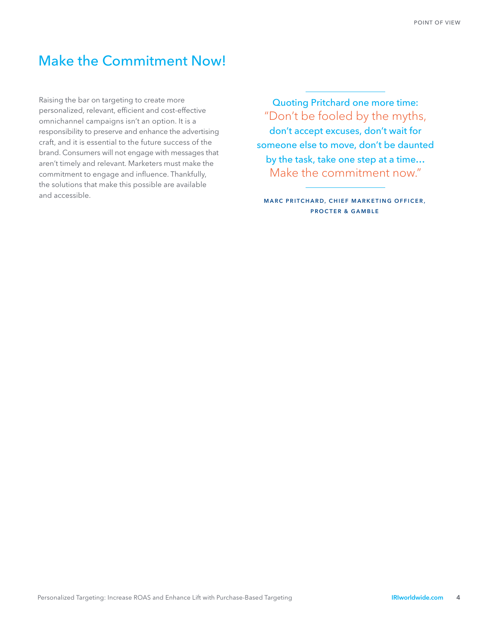### Make the Commitment Now!

Raising the bar on targeting to create more personalized, relevant, efficient and cost-effective omnichannel campaigns isn't an option. It is a responsibility to preserve and enhance the advertising craft, and it is essential to the future success of the brand. Consumers will not engage with messages that aren't timely and relevant. Marketers must make the commitment to engage and influence. Thankfully, the solutions that make this possible are available and accessible.

Quoting Pritchard one more time: "Don't be fooled by the myths, don't accept excuses, don't wait for someone else to move, don't be daunted by the task, take one step at a time… Make the commitment now."

**MARC PRITCHARD, CHIEF MARKETING OFFICER, PROCTER & GAMBLE**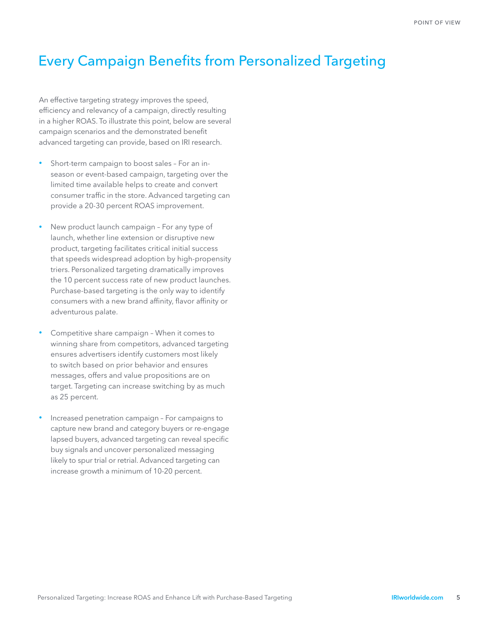# Every Campaign Benefits from Personalized Targeting

An effective targeting strategy improves the speed, efficiency and relevancy of a campaign, directly resulting in a higher ROAS. To illustrate this point, below are several campaign scenarios and the demonstrated benefit advanced targeting can provide, based on IRI research.

- Short-term campaign to boost sales For an inseason or event-based campaign, targeting over the limited time available helps to create and convert consumer traffic in the store. Advanced targeting can provide a 20-30 percent ROAS improvement.
- New product launch campaign For any type of launch, whether line extension or disruptive new product, targeting facilitates critical initial success that speeds widespread adoption by high-propensity triers. Personalized targeting dramatically improves the 10 percent success rate of new product launches. Purchase-based targeting is the only way to identify consumers with a new brand affinity, flavor affinity or adventurous palate.
- Competitive share campaign When it comes to winning share from competitors, advanced targeting ensures advertisers identify customers most likely to switch based on prior behavior and ensures messages, offers and value propositions are on target. Targeting can increase switching by as much as 25 percent.
- Increased penetration campaign For campaigns to capture new brand and category buyers or re-engage lapsed buyers, advanced targeting can reveal specific buy signals and uncover personalized messaging likely to spur trial or retrial. Advanced targeting can increase growth a minimum of 10-20 percent.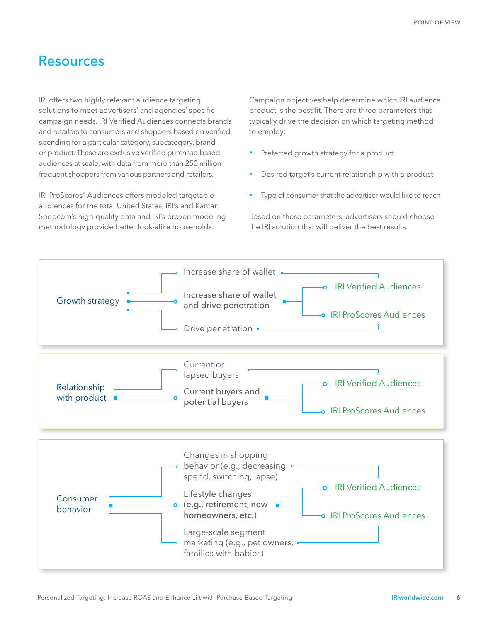### Resources

IRI offers two highly relevant audience targeting solutions to meet advertisers' and agencies' specific campaign needs. IRI Verified Audiences connects brands and retailers to consumers and shoppers based on verified spending for a particular category, subcategory, brand or product. These are exclusive verified purchase-based audiences at scale, with data from more than 250 million frequent shoppers from various partners and retailers.

IRI ProScores® Audiences offers modeled targetable audiences for the total United States. IRI's and Kantar Shopcom's high-quality data and IRI's proven modeling methodology provide better look-alike households.

Campaign objectives help determine which IRI audience product is the best fit. There are three parameters that typically drive the decision on which targeting method to employ:

- Preferred growth strategy for a product
- Desired target's current relationship with a product
- Type of consumer that the advertiser would like to reach

Based on these parameters, advertisers should choose the IRI solution that will deliver the best results.

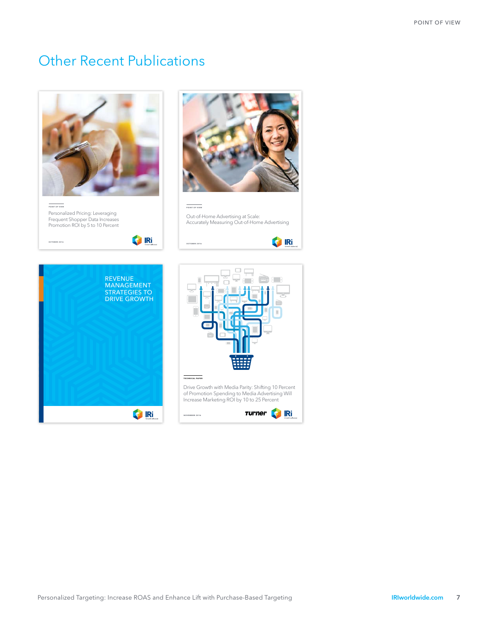## Other Recent Publications



Revenue Growth Management 1

Drive Growth with Media Parity: Shifting 10 Percent of Promotion Spending to Media Advertising Will Increase Marketing ROI by 10 to 25 Percent

**S** Ri

**College**